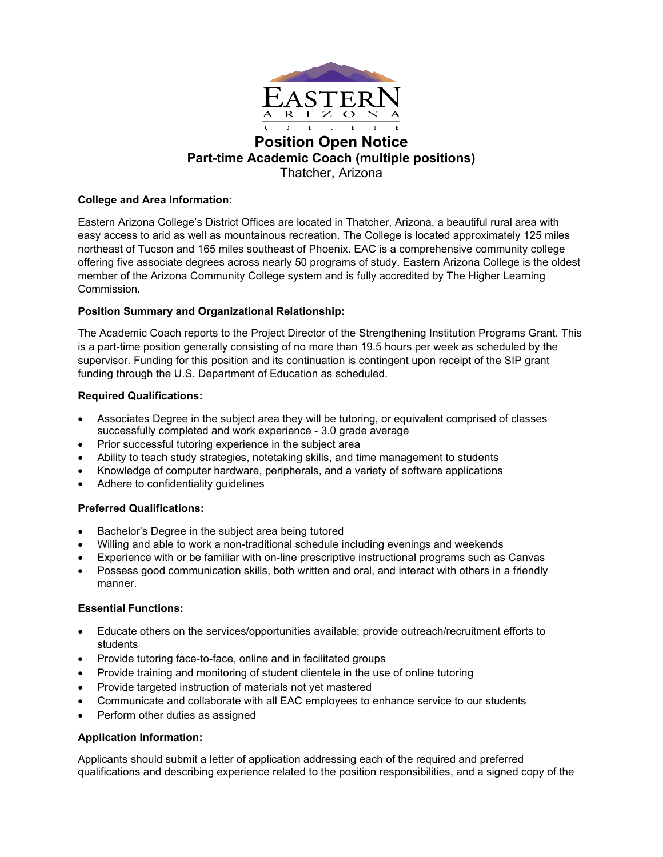

## **Position Open Notice Part-time Academic Coach (multiple positions)** Thatcher, Arizona

## **College and Area Information:**

Eastern Arizona College's District Offices are located in Thatcher, Arizona, a beautiful rural area with easy access to arid as well as mountainous recreation. The College is located approximately 125 miles northeast of Tucson and 165 miles southeast of Phoenix. EAC is a comprehensive community college offering five associate degrees across nearly 50 programs of study. Eastern Arizona College is the oldest member of the Arizona Community College system and is fully accredited by The Higher Learning Commission.

## **Position Summary and Organizational Relationship:**

The Academic Coach reports to the Project Director of the Strengthening Institution Programs Grant. This is a part-time position generally consisting of no more than 19.5 hours per week as scheduled by the supervisor. Funding for this position and its continuation is contingent upon receipt of the SIP grant funding through the U.S. Department of Education as scheduled.

## **Required Qualifications:**

- Associates Degree in the subject area they will be tutoring, or equivalent comprised of classes successfully completed and work experience - 3.0 grade average
- Prior successful tutoring experience in the subject area
- Ability to teach study strategies, notetaking skills, and time management to students
- Knowledge of computer hardware, peripherals, and a variety of software applications
- Adhere to confidentiality guidelines

# **Preferred Qualifications:**

- Bachelor's Degree in the subject area being tutored
- Willing and able to work a non-traditional schedule including evenings and weekends
- Experience with or be familiar with on-line prescriptive instructional programs such as Canvas
- Possess good communication skills, both written and oral, and interact with others in a friendly manner.

## **Essential Functions:**

- Educate others on the services/opportunities available; provide outreach/recruitment efforts to students
- Provide tutoring face-to-face, online and in facilitated groups
- Provide training and monitoring of student clientele in the use of online tutoring
- Provide targeted instruction of materials not yet mastered
- Communicate and collaborate with all EAC employees to enhance service to our students
- Perform other duties as assigned

# **Application Information:**

Applicants should submit a letter of application addressing each of the required and preferred qualifications and describing experience related to the position responsibilities, and a signed copy of the